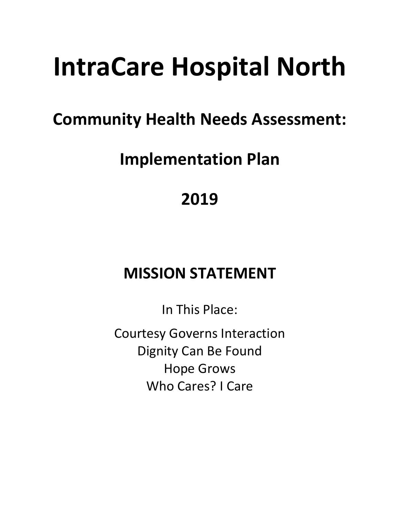# **IntraCare Hospital North**

### **Community Health Needs Assessment:**

## **Implementation Plan**

**2019**

### **MISSION STATEMENT**

In This Place:

Courtesy Governs Interaction Dignity Can Be Found Hope Grows Who Cares? I Care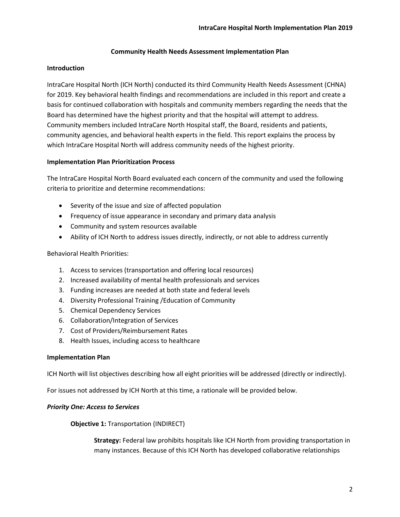#### **Community Health Needs Assessment Implementation Plan**

#### **Introduction**

IntraCare Hospital North (ICH North) conducted its third Community Health Needs Assessment (CHNA) for 2019. Key behavioral health findings and recommendations are included in this report and create a basis for continued collaboration with hospitals and community members regarding the needs that the Board has determined have the highest priority and that the hospital will attempt to address. Community members included IntraCare North Hospital staff, the Board, residents and patients, community agencies, and behavioral health experts in the field. This report explains the process by which IntraCare Hospital North will address community needs of the highest priority.

#### **Implementation Plan Prioritization Process**

The IntraCare Hospital North Board evaluated each concern of the community and used the following criteria to prioritize and determine recommendations:

- Severity of the issue and size of affected population
- Frequency of issue appearance in secondary and primary data analysis
- Community and system resources available
- Ability of ICH North to address issues directly, indirectly, or not able to address currently

Behavioral Health Priorities:

- 1. Access to services (transportation and offering local resources)
- 2. Increased availability of mental health professionals and services
- 3. Funding increases are needed at both state and federal levels
- 4. Diversity Professional Training /Education of Community
- 5. Chemical Dependency Services
- 6. Collaboration/Integration of Services
- 7. Cost of Providers/Reimbursement Rates
- 8. Health Issues, including access to healthcare

#### **Implementation Plan**

ICH North will list objectives describing how all eight priorities will be addressed (directly or indirectly).

For issues not addressed by ICH North at this time, a rationale will be provided below.

#### *Priority One: Access to Services*

**Objective 1:** Transportation (INDIRECT)

**Strategy:** Federal law prohibits hospitals like ICH North from providing transportation in many instances. Because of this ICH North has developed collaborative relationships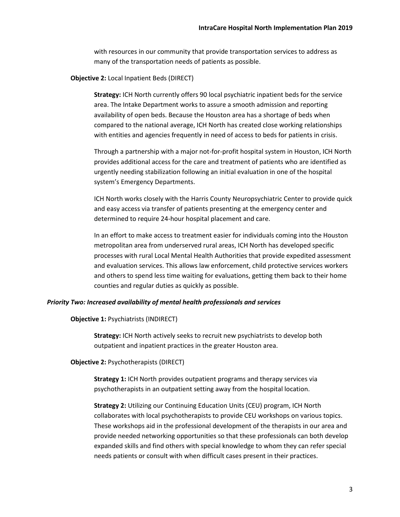with resources in our community that provide transportation services to address as many of the transportation needs of patients as possible.

#### **Objective 2:** Local Inpatient Beds (DIRECT)

**Strategy:** ICH North currently offers 90 local psychiatric inpatient beds for the service area. The Intake Department works to assure a smooth admission and reporting availability of open beds. Because the Houston area has a shortage of beds when compared to the national average, ICH North has created close working relationships with entities and agencies frequently in need of access to beds for patients in crisis.

Through a partnership with a major not-for-profit hospital system in Houston, ICH North provides additional access for the care and treatment of patients who are identified as urgently needing stabilization following an initial evaluation in one of the hospital system's Emergency Departments.

ICH North works closely with the Harris County Neuropsychiatric Center to provide quick and easy access via transfer of patients presenting at the emergency center and determined to require 24-hour hospital placement and care.

In an effort to make access to treatment easier for individuals coming into the Houston metropolitan area from underserved rural areas, ICH North has developed specific processes with rural Local Mental Health Authorities that provide expedited assessment and evaluation services. This allows law enforcement, child protective services workers and others to spend less time waiting for evaluations, getting them back to their home counties and regular duties as quickly as possible.

#### *Priority Two: Increased availability of mental health professionals and services*

#### **Objective 1:** Psychiatrists (INDIRECT)

**Strategy:** ICH North actively seeks to recruit new psychiatrists to develop both outpatient and inpatient practices in the greater Houston area.

**Objective 2:** Psychotherapists (DIRECT)

**Strategy 1:** ICH North provides outpatient programs and therapy services via psychotherapists in an outpatient setting away from the hospital location.

**Strategy 2:** Utilizing our Continuing Education Units (CEU) program, ICH North collaborates with local psychotherapists to provide CEU workshops on various topics. These workshops aid in the professional development of the therapists in our area and provide needed networking opportunities so that these professionals can both develop expanded skills and find others with special knowledge to whom they can refer special needs patients or consult with when difficult cases present in their practices.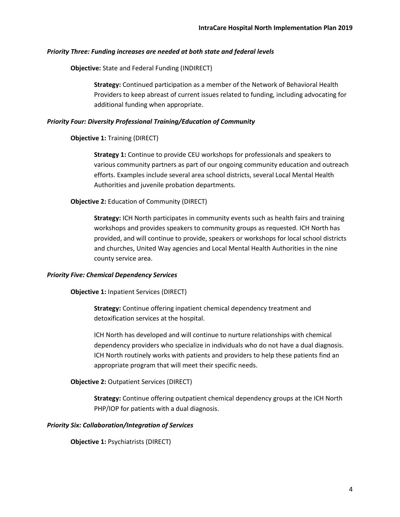#### *Priority Three: Funding increases are needed at both state and federal levels*

**Objective:** State and Federal Funding (INDIRECT)

**Strategy:** Continued participation as a member of the Network of Behavioral Health Providers to keep abreast of current issues related to funding, including advocating for additional funding when appropriate.

#### *Priority Four: Diversity Professional Training/Education of Community*

**Objective 1:** Training (DIRECT)

**Strategy 1:** Continue to provide CEU workshops for professionals and speakers to various community partners as part of our ongoing community education and outreach efforts. Examples include several area school districts, several Local Mental Health Authorities and juvenile probation departments.

#### **Objective 2:** Education of Community (DIRECT)

**Strategy:** ICH North participates in community events such as health fairs and training workshops and provides speakers to community groups as requested. ICH North has provided, and will continue to provide, speakers or workshops for local school districts and churches, United Way agencies and Local Mental Health Authorities in the nine county service area.

#### *Priority Five: Chemical Dependency Services*

**Objective 1:** Inpatient Services (DIRECT)

**Strategy:** Continue offering inpatient chemical dependency treatment and detoxification services at the hospital.

ICH North has developed and will continue to nurture relationships with chemical dependency providers who specialize in individuals who do not have a dual diagnosis. ICH North routinely works with patients and providers to help these patients find an appropriate program that will meet their specific needs.

#### **Objective 2:** Outpatient Services (DIRECT)

**Strategy:** Continue offering outpatient chemical dependency groups at the ICH North PHP/IOP for patients with a dual diagnosis.

#### *Priority Six: Collaboration/Integration of Services*

**Objective 1:** Psychiatrists (DIRECT)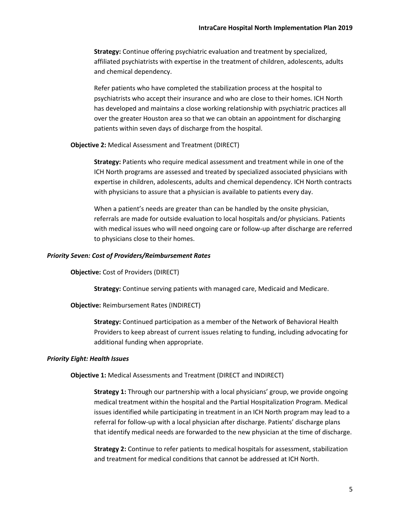**Strategy:** Continue offering psychiatric evaluation and treatment by specialized, affiliated psychiatrists with expertise in the treatment of children, adolescents, adults and chemical dependency.

Refer patients who have completed the stabilization process at the hospital to psychiatrists who accept their insurance and who are close to their homes. ICH North has developed and maintains a close working relationship with psychiatric practices all over the greater Houston area so that we can obtain an appointment for discharging patients within seven days of discharge from the hospital.

#### **Objective 2:** Medical Assessment and Treatment (DIRECT)

**Strategy:** Patients who require medical assessment and treatment while in one of the ICH North programs are assessed and treated by specialized associated physicians with expertise in children, adolescents, adults and chemical dependency. ICH North contracts with physicians to assure that a physician is available to patients every day.

When a patient's needs are greater than can be handled by the onsite physician, referrals are made for outside evaluation to local hospitals and/or physicians. Patients with medical issues who will need ongoing care or follow-up after discharge are referred to physicians close to their homes.

#### *Priority Seven: Cost of Providers/Reimbursement Rates*

**Objective:** Cost of Providers (DIRECT)

**Strategy:** Continue serving patients with managed care, Medicaid and Medicare.

**Objective:** Reimbursement Rates (INDIRECT)

**Strategy:** Continued participation as a member of the Network of Behavioral Health Providers to keep abreast of current issues relating to funding, including advocating for additional funding when appropriate.

#### *Priority Eight: Health Issues*

**Objective 1:** Medical Assessments and Treatment (DIRECT and INDIRECT)

**Strategy 1:** Through our partnership with a local physicians' group, we provide ongoing medical treatment within the hospital and the Partial Hospitalization Program. Medical issues identified while participating in treatment in an ICH North program may lead to a referral for follow-up with a local physician after discharge. Patients' discharge plans that identify medical needs are forwarded to the new physician at the time of discharge.

**Strategy 2:** Continue to refer patients to medical hospitals for assessment, stabilization and treatment for medical conditions that cannot be addressed at ICH North.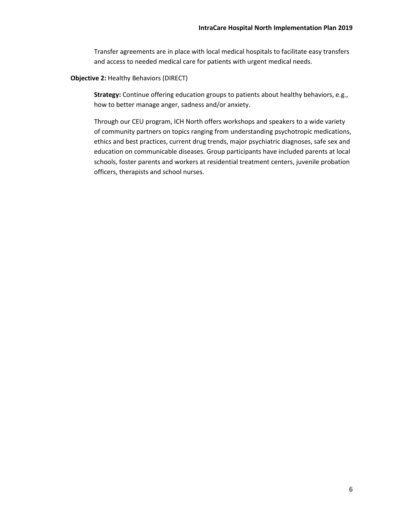Transfer agreements are in place with local medical hospitals to facilitate easy transfers and access to needed medical care for patients with urgent medical needs.

#### **Objective 2:** Healthy Behaviors (DIRECT)

**Strategy:** Continue offering education groups to patients about healthy behaviors, e.g., how to better manage anger, sadness and/or anxiety.

Through our CEU program, ICH North offers workshops and speakers to a wide variety of community partners on topics ranging from understanding psychotropic medications, ethics and best practices, current drug trends, major psychiatric diagnoses, safe sex and education on communicable diseases. Group participants have included parents at local schools, foster parents and workers at residential treatment centers, juvenile probation officers, therapists and school nurses.